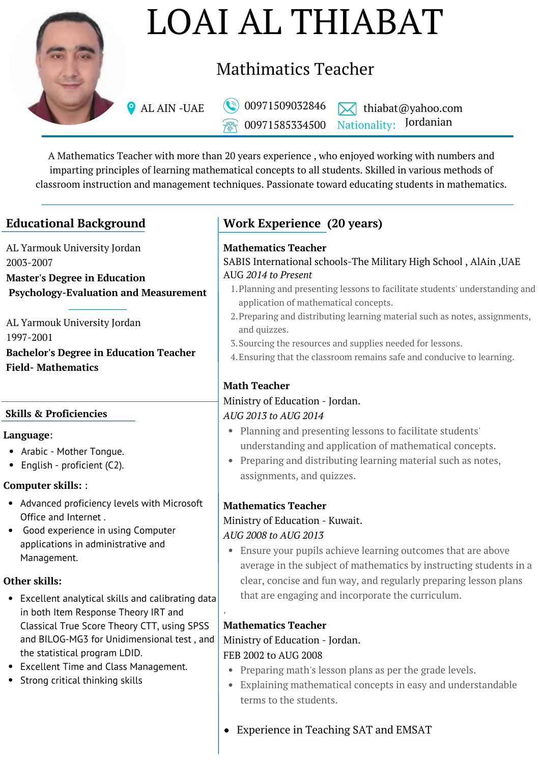

# LOAI AL THIABAT

# Mathimatics Teacher

00971585334500

AL AIN -UAE  $\bigcirc$  00971509032846  $\bigtimes$  thiabat@yahoo.com Nationality: Jordanian

A Mathematics Teacher with more than 20 years experience , who enjoyed working with numbers and imparting principles of learning mathematical concepts to all students. Skilled in various methods of classroom instruction and management techniques. Passionate toward educating students in mathematics.

AL Yarmouk University Jordan 2003-2007 **Master's Degree in Education Psychology-Evaluation and Measurement**

AL Yarmouk University Jordan 1997-2001 **Bachelor's Degree in Education Teacher Field- Mathematics**

#### **Skills & Proficiencies**

#### **Language**:

- Arabic Mother Tongue.
- English proficient (C2).

#### **Computer skills:** :

- Advanced proficiency levels with Microsoft Office and Internet .
- Good experience in using Computer applications in administrative and Management.

#### **Other skills:**

- Excellent analytical skills and calibrating data in both Item Response Theory IRT and Classical True Score Theory CTT, using SPSS and BILOG-MG3 for Unidimensional test , and the statistical program LDID.
- Excellent Time and Class Management.
- Strong critical thinking skills

## **Educational Background Work Experience (20 years)**

#### **Mathematics Teacher**

#### SABIS International schools-The Military High School , AlAin ,UAE AUG *2014 to Present*

- Planning and presenting lessons to facilitate students' understanding and 1. application of mathematical concepts.
- Preparing and distributing learning material such as notes, assignments, 2. and quizzes.
- Sourcing the resources and supplies needed for lessons. 3.
- Ensuring that the classroom remains safe and conducive to learning. 4.

#### **Math Teacher**

# Ministry of Education - Jordan.

#### *AUG 2013 to AUG 2014*

- Planning and presenting lessons to facilitate students' understanding and application of mathematical concepts.
- Preparing and distributing learning material such as notes, assignments, and quizzes.

#### **Mathematics Teacher**

#### Ministry of Education - Kuwait.

#### *AUG 2008 to AUG 2013*

Ensure your pupils achieve learning outcomes that are above average in the subject of mathematics by instructing students in a clear, concise and fun way, and regularly preparing lesson plans that are engaging and incorporate the curriculum.

#### **Mathematics Teacher**

.

### Ministry of Education - Jordan.

#### FEB 2002 to AUG 2008

- Preparing math's lesson plans as per the grade levels.
- Explaining mathematical concepts in easy and understandable terms to the students.
- Experience in Teaching SAT and EMSAT